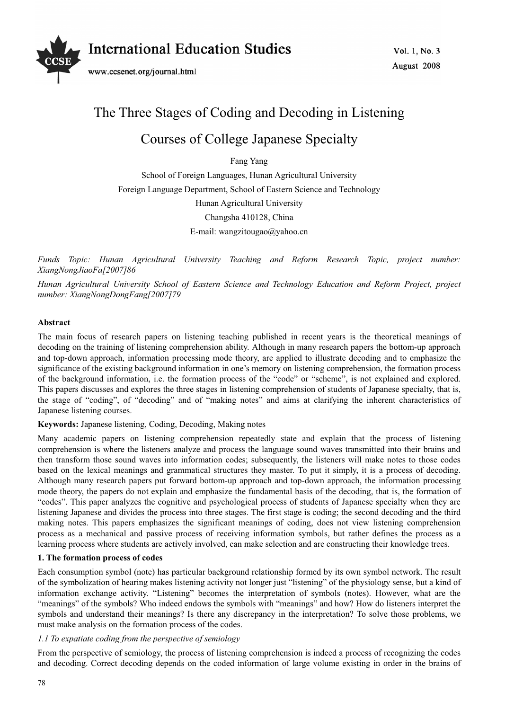

# The Three Stages of Coding and Decoding in Listening Courses of College Japanese Specialty

Fang Yang

School of Foreign Languages, Hunan Agricultural University Foreign Language Department, School of Eastern Science and Technology Hunan Agricultural University Changsha 410128, China E-mail: wangzitougao@yahoo.cn

*Funds Topic: Hunan Agricultural University Teaching and Reform Research Topic, project number: XiangNongJiaoFa[2007]86* 

*Hunan Agricultural University School of Eastern Science and Technology Education and Reform Project, project number: XiangNongDongFang[2007]79* 

## **Abstract**

The main focus of research papers on listening teaching published in recent years is the theoretical meanings of decoding on the training of listening comprehension ability. Although in many research papers the bottom-up approach and top-down approach, information processing mode theory, are applied to illustrate decoding and to emphasize the significance of the existing background information in one's memory on listening comprehension, the formation process of the background information, i.e. the formation process of the "code" or "scheme", is not explained and explored. This papers discusses and explores the three stages in listening comprehension of students of Japanese specialty, that is, the stage of "coding", of "decoding" and of "making notes" and aims at clarifying the inherent characteristics of Japanese listening courses.

**Keywords:** Japanese listening, Coding, Decoding, Making notes

Many academic papers on listening comprehension repeatedly state and explain that the process of listening comprehension is where the listeners analyze and process the language sound waves transmitted into their brains and then transform those sound waves into information codes; subsequently, the listeners will make notes to those codes based on the lexical meanings and grammatical structures they master. To put it simply, it is a process of decoding. Although many research papers put forward bottom-up approach and top-down approach, the information processing mode theory, the papers do not explain and emphasize the fundamental basis of the decoding, that is, the formation of "codes". This paper analyzes the cognitive and psychological process of students of Japanese specialty when they are listening Japanese and divides the process into three stages. The first stage is coding; the second decoding and the third making notes. This papers emphasizes the significant meanings of coding, does not view listening comprehension process as a mechanical and passive process of receiving information symbols, but rather defines the process as a learning process where students are actively involved, can make selection and are constructing their knowledge trees.

## **1. The formation process of codes**

Each consumption symbol (note) has particular background relationship formed by its own symbol network. The result of the symbolization of hearing makes listening activity not longer just "listening" of the physiology sense, but a kind of information exchange activity. "Listening" becomes the interpretation of symbols (notes). However, what are the "meanings" of the symbols? Who indeed endows the symbols with "meanings" and how? How do listeners interpret the symbols and understand their meanings? Is there any discrepancy in the interpretation? To solve those problems, we must make analysis on the formation process of the codes.

## *1.1 To expatiate coding from the perspective of semiology*

From the perspective of semiology, the process of listening comprehension is indeed a process of recognizing the codes and decoding. Correct decoding depends on the coded information of large volume existing in order in the brains of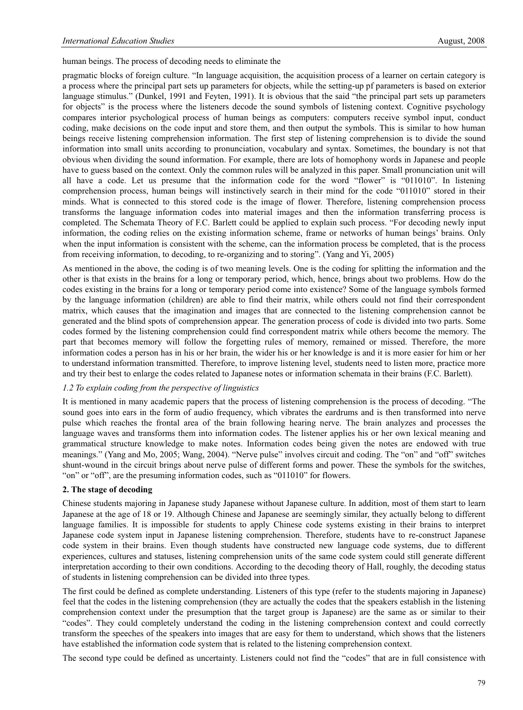human beings. The process of decoding needs to eliminate the

pragmatic blocks of foreign culture. "In language acquisition, the acquisition process of a learner on certain category is a process where the principal part sets up parameters for objects, while the setting-up pf parameters is based on exterior language stimulus." (Dunkel, 1991 and Feyten, 1991). It is obvious that the said "the principal part sets up parameters for objects" is the process where the listeners decode the sound symbols of listening context. Cognitive psychology compares interior psychological process of human beings as computers: computers receive symbol input, conduct coding, make decisions on the code input and store them, and then output the symbols. This is similar to how human beings receive listening comprehension information. The first step of listening comprehension is to divide the sound information into small units according to pronunciation, vocabulary and syntax. Sometimes, the boundary is not that obvious when dividing the sound information. For example, there are lots of homophony words in Japanese and people have to guess based on the context. Only the common rules will be analyzed in this paper. Small pronunciation unit will all have a code. Let us presume that the information code for the word "flower" is "011010". In listening comprehension process, human beings will instinctively search in their mind for the code "011010" stored in their minds. What is connected to this stored code is the image of flower. Therefore, listening comprehension process transforms the language information codes into material images and then the information transferring process is completed. The Schemata Theory of F.C. Barlett could be applied to explain such process. "For decoding newly input information, the coding relies on the existing information scheme, frame or networks of human beings' brains. Only when the input information is consistent with the scheme, can the information process be completed, that is the process from receiving information, to decoding, to re-organizing and to storing". (Yang and Yi, 2005)

As mentioned in the above, the coding is of two meaning levels. One is the coding for splitting the information and the other is that exists in the brains for a long or temporary period, which, hence, brings about two problems. How do the codes existing in the brains for a long or temporary period come into existence? Some of the language symbols formed by the language information (children) are able to find their matrix, while others could not find their correspondent matrix, which causes that the imagination and images that are connected to the listening comprehension cannot be generated and the blind spots of comprehension appear. The generation process of code is divided into two parts. Some codes formed by the listening comprehension could find correspondent matrix while others become the memory. The part that becomes memory will follow the forgetting rules of memory, remained or missed. Therefore, the more information codes a person has in his or her brain, the wider his or her knowledge is and it is more easier for him or her to understand information transmitted. Therefore, to improve listening level, students need to listen more, practice more and try their best to enlarge the codes related to Japanese notes or information schemata in their brains (F.C. Barlett).

#### *1.2 To explain coding from the perspective of linguistics*

It is mentioned in many academic papers that the process of listening comprehension is the process of decoding. "The sound goes into ears in the form of audio frequency, which vibrates the eardrums and is then transformed into nerve pulse which reaches the frontal area of the brain following hearing nerve. The brain analyzes and processes the language waves and transforms them into information codes. The listener applies his or her own lexical meaning and grammatical structure knowledge to make notes. Information codes being given the notes are endowed with true meanings." (Yang and Mo, 2005; Wang, 2004). "Nerve pulse" involves circuit and coding. The "on" and "off" switches shunt-wound in the circuit brings about nerve pulse of different forms and power. These the symbols for the switches, "on" or "off", are the presuming information codes, such as "011010" for flowers.

#### **2. The stage of decoding**

Chinese students majoring in Japanese study Japanese without Japanese culture. In addition, most of them start to learn Japanese at the age of 18 or 19. Although Chinese and Japanese are seemingly similar, they actually belong to different language families. It is impossible for students to apply Chinese code systems existing in their brains to interpret Japanese code system input in Japanese listening comprehension. Therefore, students have to re-construct Japanese code system in their brains. Even though students have constructed new language code systems, due to different experiences, cultures and statuses, listening comprehension units of the same code system could still generate different interpretation according to their own conditions. According to the decoding theory of Hall, roughly, the decoding status of students in listening comprehension can be divided into three types.

The first could be defined as complete understanding. Listeners of this type (refer to the students majoring in Japanese) feel that the codes in the listening comprehension (they are actually the codes that the speakers establish in the listening comprehension context under the presumption that the target group is Japanese) are the same as or similar to their "codes". They could completely understand the coding in the listening comprehension context and could correctly transform the speeches of the speakers into images that are easy for them to understand, which shows that the listeners have established the information code system that is related to the listening comprehension context.

The second type could be defined as uncertainty. Listeners could not find the "codes" that are in full consistence with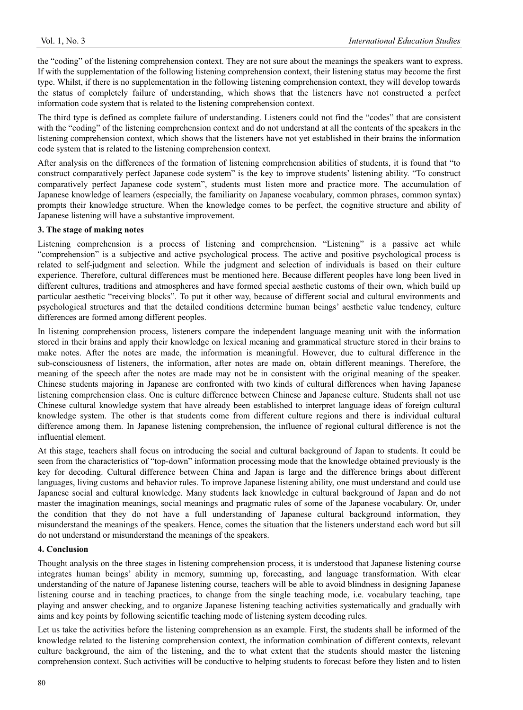the "coding" of the listening comprehension context. They are not sure about the meanings the speakers want to express. If with the supplementation of the following listening comprehension context, their listening status may become the first type. Whilst, if there is no supplementation in the following listening comprehension context, they will develop towards the status of completely failure of understanding, which shows that the listeners have not constructed a perfect information code system that is related to the listening comprehension context.

The third type is defined as complete failure of understanding. Listeners could not find the "codes" that are consistent with the "coding" of the listening comprehension context and do not understand at all the contents of the speakers in the listening comprehension context, which shows that the listeners have not yet established in their brains the information code system that is related to the listening comprehension context.

After analysis on the differences of the formation of listening comprehension abilities of students, it is found that "to construct comparatively perfect Japanese code system" is the key to improve students' listening ability. "To construct comparatively perfect Japanese code system", students must listen more and practice more. The accumulation of Japanese knowledge of learners (especially, the familiarity on Japanese vocabulary, common phrases, common syntax) prompts their knowledge structure. When the knowledge comes to be perfect, the cognitive structure and ability of Japanese listening will have a substantive improvement.

## **3. The stage of making notes**

Listening comprehension is a process of listening and comprehension. "Listening" is a passive act while "comprehension" is a subjective and active psychological process. The active and positive psychological process is related to self-judgment and selection. While the judgment and selection of individuals is based on their culture experience. Therefore, cultural differences must be mentioned here. Because different peoples have long been lived in different cultures, traditions and atmospheres and have formed special aesthetic customs of their own, which build up particular aesthetic "receiving blocks". To put it other way, because of different social and cultural environments and psychological structures and that the detailed conditions determine human beings' aesthetic value tendency, culture differences are formed among different peoples.

In listening comprehension process, listeners compare the independent language meaning unit with the information stored in their brains and apply their knowledge on lexical meaning and grammatical structure stored in their brains to make notes. After the notes are made, the information is meaningful. However, due to cultural difference in the sub-consciousness of listeners, the information, after notes are made on, obtain different meanings. Therefore, the meaning of the speech after the notes are made may not be in consistent with the original meaning of the speaker. Chinese students majoring in Japanese are confronted with two kinds of cultural differences when having Japanese listening comprehension class. One is culture difference between Chinese and Japanese culture. Students shall not use Chinese cultural knowledge system that have already been established to interpret language ideas of foreign cultural knowledge system. The other is that students come from different culture regions and there is individual cultural difference among them. In Japanese listening comprehension, the influence of regional cultural difference is not the influential element.

At this stage, teachers shall focus on introducing the social and cultural background of Japan to students. It could be seen from the characteristics of "top-down" information processing mode that the knowledge obtained previously is the key for decoding. Cultural difference between China and Japan is large and the difference brings about different languages, living customs and behavior rules. To improve Japanese listening ability, one must understand and could use Japanese social and cultural knowledge. Many students lack knowledge in cultural background of Japan and do not master the imagination meanings, social meanings and pragmatic rules of some of the Japanese vocabulary. Or, under the condition that they do not have a full understanding of Japanese cultural background information, they misunderstand the meanings of the speakers. Hence, comes the situation that the listeners understand each word but sill do not understand or misunderstand the meanings of the speakers.

## **4. Conclusion**

Thought analysis on the three stages in listening comprehension process, it is understood that Japanese listening course integrates human beings' ability in memory, summing up, forecasting, and language transformation. With clear understanding of the nature of Japanese listening course, teachers will be able to avoid blindness in designing Japanese listening course and in teaching practices, to change from the single teaching mode, i.e. vocabulary teaching, tape playing and answer checking, and to organize Japanese listening teaching activities systematically and gradually with aims and key points by following scientific teaching mode of listening system decoding rules.

Let us take the activities before the listening comprehension as an example. First, the students shall be informed of the knowledge related to the listening comprehension context, the information combination of different contexts, relevant culture background, the aim of the listening, and the to what extent that the students should master the listening comprehension context. Such activities will be conductive to helping students to forecast before they listen and to listen